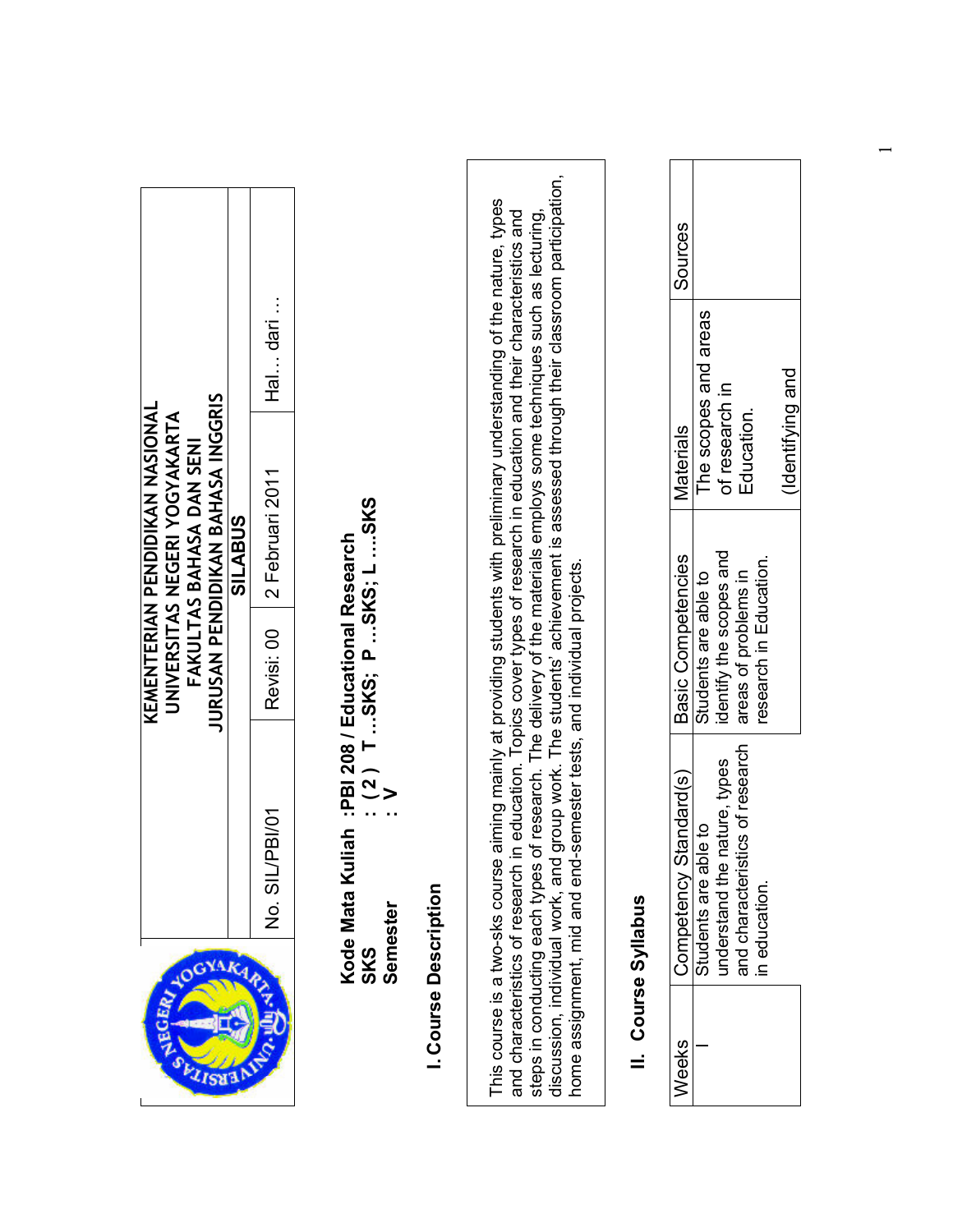| JURUSAN PENDIDIKAN BAHASA INGGRIS<br>KEMENTERIAN PENDIDIKAN NASIONAL<br>UNIVERSITAS NEGERI YOGYAKARTA<br>FAKULTAS BAHASA DAN SENI<br><b>SILABUS</b> | Hal dan<br>2 Februari 2011<br>Revisi: 00<br>No. SIL/PBI/01 | : $(2)$ T SKS; P SKS; L SKS<br>: V<br>iah :PBI 208 / Educational Research<br>Kode Mata Ku<br>Semester<br><b>SKS</b> | <b>Course Description</b> | group work. The students' achievement is assessed through their classroom participation,<br>aiming mainly at providing students with preliminary understanding of the nature, types<br>and characteristics of research in education. Topics cover types of research in education and their characteristics and<br>of research. The delivery of the materials employs some techniques such as lecturing,<br>semester tests, and individual projects<br>discussion, individual work, and<br>This course is a two-sks course<br>home assignment, mid and end<br>steps in conducting each types | Course Syllabus | Sources<br><b>Materials</b><br>Basic Competencies<br>Competency Standard(s)<br>Weeks | The scopes and areas<br>of research in<br>Education.<br>identify the scopes and<br>research in Education.<br>areas of problems in<br>Students are able to<br>and characteristics of research<br>nature, types<br>Students are able to<br>understand the<br>in education. |
|-----------------------------------------------------------------------------------------------------------------------------------------------------|------------------------------------------------------------|---------------------------------------------------------------------------------------------------------------------|---------------------------|---------------------------------------------------------------------------------------------------------------------------------------------------------------------------------------------------------------------------------------------------------------------------------------------------------------------------------------------------------------------------------------------------------------------------------------------------------------------------------------------------------------------------------------------------------------------------------------------|-----------------|--------------------------------------------------------------------------------------|--------------------------------------------------------------------------------------------------------------------------------------------------------------------------------------------------------------------------------------------------------------------------|
|-----------------------------------------------------------------------------------------------------------------------------------------------------|------------------------------------------------------------|---------------------------------------------------------------------------------------------------------------------|---------------------------|---------------------------------------------------------------------------------------------------------------------------------------------------------------------------------------------------------------------------------------------------------------------------------------------------------------------------------------------------------------------------------------------------------------------------------------------------------------------------------------------------------------------------------------------------------------------------------------------|-----------------|--------------------------------------------------------------------------------------|--------------------------------------------------------------------------------------------------------------------------------------------------------------------------------------------------------------------------------------------------------------------------|

 $\overline{\phantom{0}}$ 

(Identifying and (Identifying and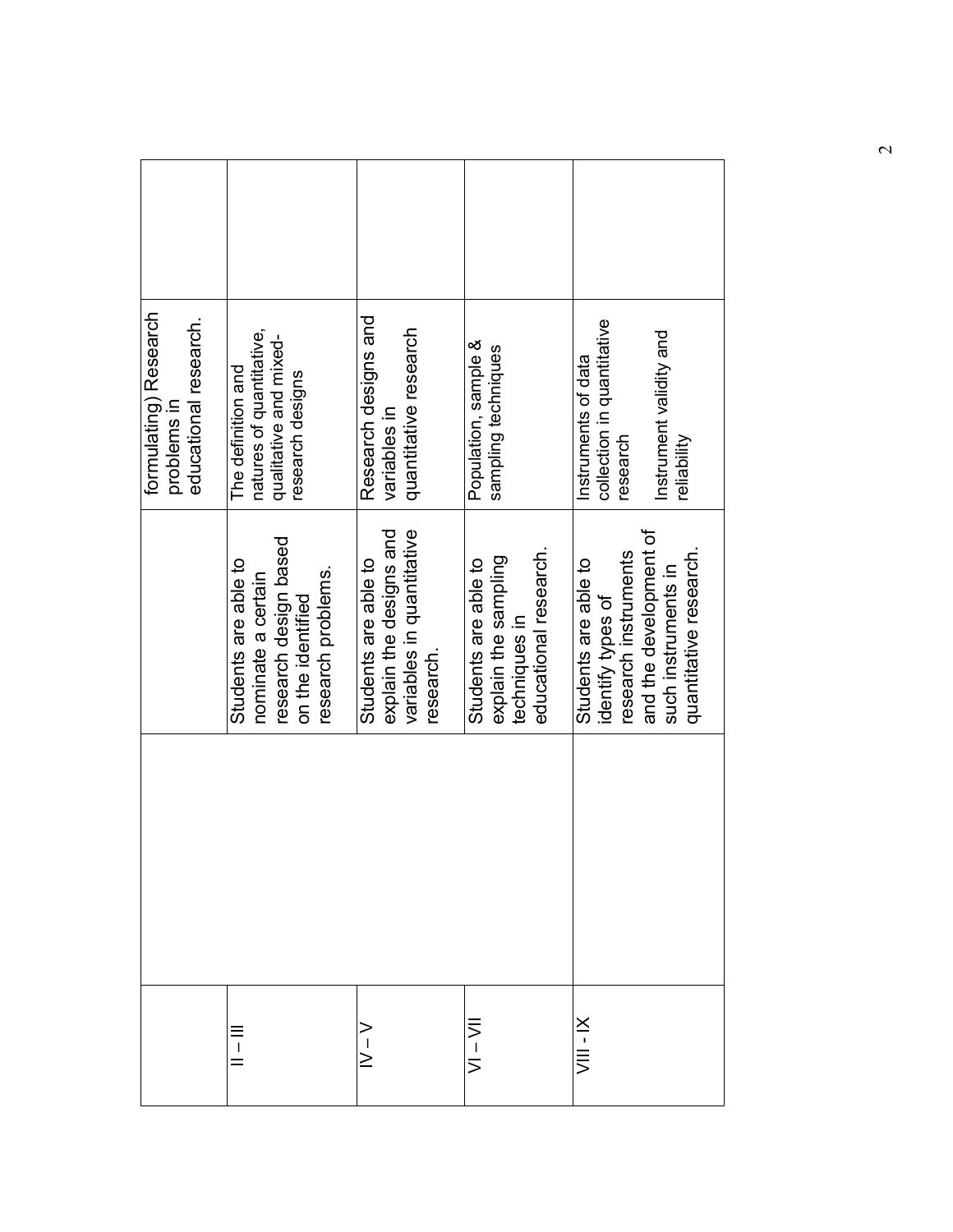|           |                                                                                                                                              | formulating) Research<br>educational research.<br>problems in                                           |  |
|-----------|----------------------------------------------------------------------------------------------------------------------------------------------|---------------------------------------------------------------------------------------------------------|--|
| $\equiv$  | research design based<br>Students are able to<br>research problems.<br>nominate a certain<br>on the identified                               | natures of quantitative,<br>qualitative and mixed-<br>The definition and<br>research designs            |  |
| $\ge$     | variables in quantitative<br>explain the designs and<br>Students are able to<br>research.                                                    | Research designs and<br>quantitative research<br>variables in                                           |  |
| ミーマー      | educational research.<br>explain the sampling<br>Students are able to<br>techniques in                                                       | Population, sample &<br>sampling techniques                                                             |  |
| VIII - IX | and the development of<br>quantitative research.<br>research instruments<br>Students are able to<br>such instruments in<br>identify types of | collection in quantitative<br>Instrument validity and<br>Instruments of data<br>research<br>reliability |  |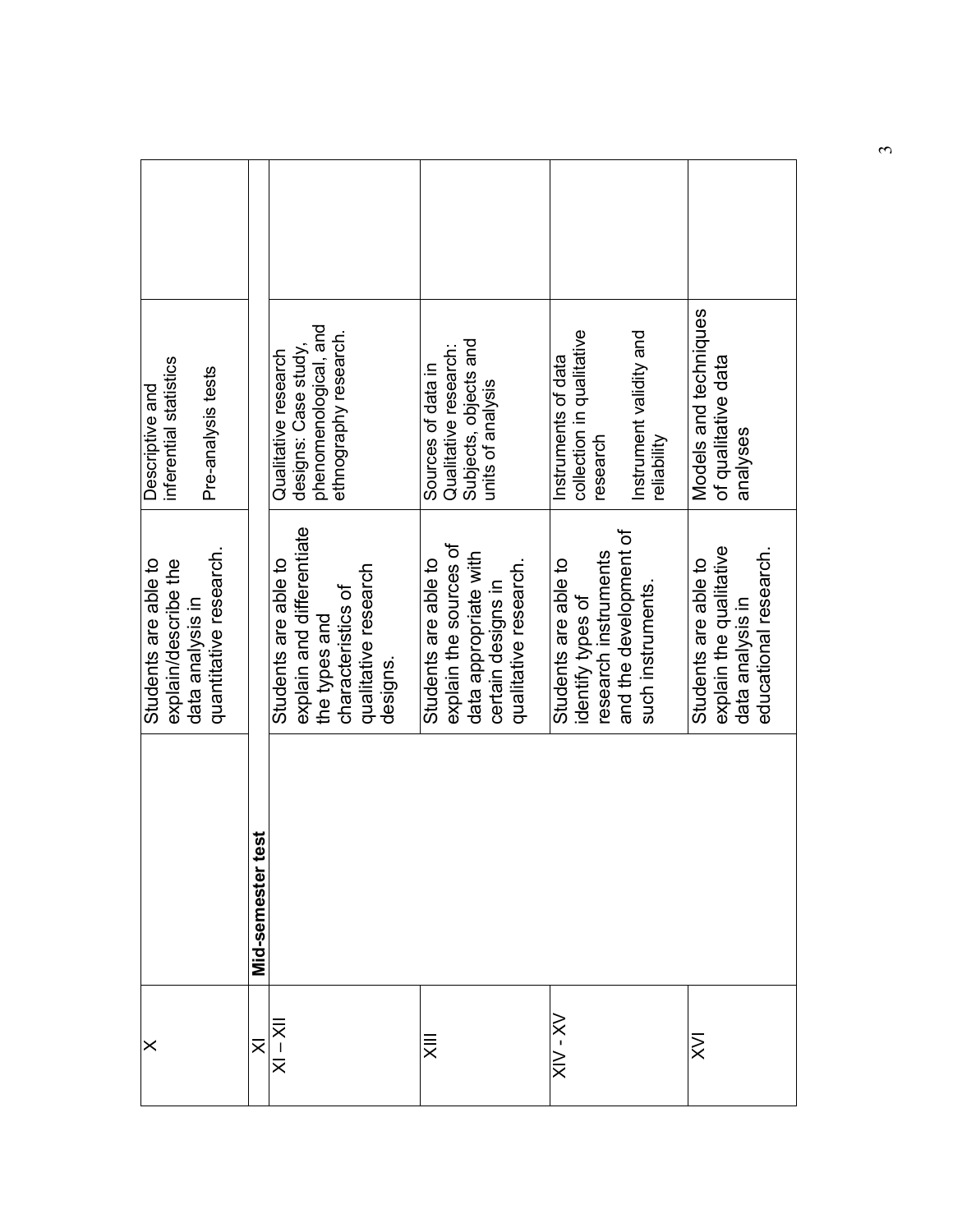| inferential statistics<br>Pre-analysis tests<br>Descriptive and                            |                             | phenomenological, and<br>ethnography research.<br>designs: Case study<br>Qualitative research                               | Subjects, objects and<br>Qualitative research:<br>Sources of data in<br>units of analysis                              | collection in qualitative<br>Instrument validity and<br>Instruments of data<br>research<br>reliability           | Models and techniques<br>of qualitative data<br>analyses                                     |
|--------------------------------------------------------------------------------------------|-----------------------------|-----------------------------------------------------------------------------------------------------------------------------|------------------------------------------------------------------------------------------------------------------------|------------------------------------------------------------------------------------------------------------------|----------------------------------------------------------------------------------------------|
| quantitative research.<br>Students are able to<br>explain/describe the<br>data analysis in |                             | explain and differentiate<br>Students are able to<br>qualitative research<br>characteristics of<br>the types and<br>designs | explain the sources of<br>data appropriate with<br>Students are able to<br>qualitative research.<br>certain designs in | and the development of<br>research instruments<br>Students are able to<br>such instruments.<br>identify types of | explain the qualitative<br>educational research.<br>Students are able to<br>data analysis in |
|                                                                                            | <b>GST</b><br>Mid-semestert |                                                                                                                             |                                                                                                                        |                                                                                                                  |                                                                                              |
| ×                                                                                          | $\overline{\times}$         | $ 1 \times - 1 \times$                                                                                                      | $\bar{\bar{\mathsf{x}}}$                                                                                               | $XX - NN$                                                                                                        | $\gtrapprox$                                                                                 |